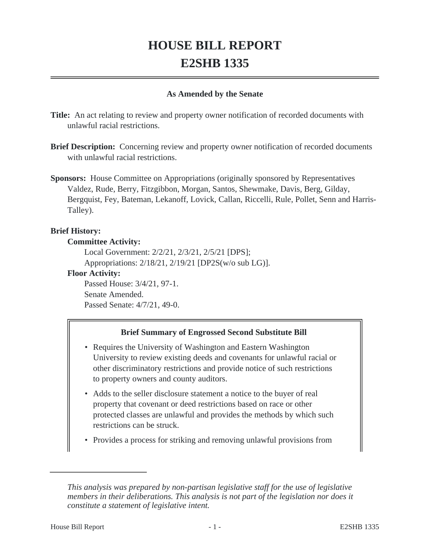# **HOUSE BILL REPORT E2SHB 1335**

#### **As Amended by the Senate**

**Title:** An act relating to review and property owner notification of recorded documents with unlawful racial restrictions.

**Brief Description:** Concerning review and property owner notification of recorded documents with unlawful racial restrictions.

**Sponsors:** House Committee on Appropriations (originally sponsored by Representatives Valdez, Rude, Berry, Fitzgibbon, Morgan, Santos, Shewmake, Davis, Berg, Gilday, Bergquist, Fey, Bateman, Lekanoff, Lovick, Callan, Riccelli, Rule, Pollet, Senn and Harris-Talley).

#### **Brief History:**

#### **Committee Activity:**

Local Government: 2/2/21, 2/3/21, 2/5/21 [DPS]; Appropriations: 2/18/21, 2/19/21 [DP2S(w/o sub LG)].

**Floor Activity:**

Passed House: 3/4/21, 97-1. Senate Amended. Passed Senate: 4/7/21, 49-0.

## **Brief Summary of Engrossed Second Substitute Bill**

- Requires the University of Washington and Eastern Washington University to review existing deeds and covenants for unlawful racial or other discriminatory restrictions and provide notice of such restrictions to property owners and county auditors.
- Adds to the seller disclosure statement a notice to the buyer of real property that covenant or deed restrictions based on race or other protected classes are unlawful and provides the methods by which such restrictions can be struck.
- Provides a process for striking and removing unlawful provisions from

*This analysis was prepared by non-partisan legislative staff for the use of legislative members in their deliberations. This analysis is not part of the legislation nor does it constitute a statement of legislative intent.*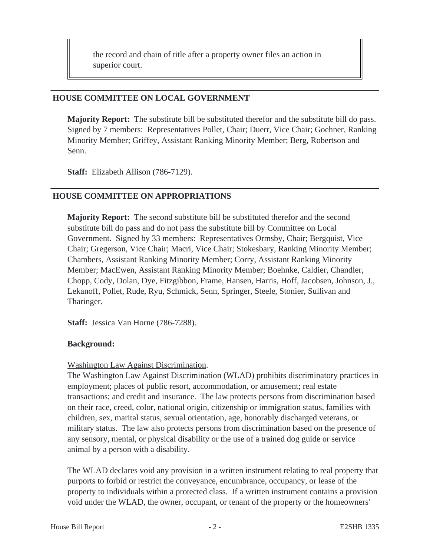the record and chain of title after a property owner files an action in superior court.

#### **HOUSE COMMITTEE ON LOCAL GOVERNMENT**

**Majority Report:** The substitute bill be substituted therefor and the substitute bill do pass. Signed by 7 members: Representatives Pollet, Chair; Duerr, Vice Chair; Goehner, Ranking Minority Member; Griffey, Assistant Ranking Minority Member; Berg, Robertson and Senn.

**Staff:** Elizabeth Allison (786-7129).

# **HOUSE COMMITTEE ON APPROPRIATIONS**

**Majority Report:** The second substitute bill be substituted therefor and the second substitute bill do pass and do not pass the substitute bill by Committee on Local Government. Signed by 33 members: Representatives Ormsby, Chair; Bergquist, Vice Chair; Gregerson, Vice Chair; Macri, Vice Chair; Stokesbary, Ranking Minority Member; Chambers, Assistant Ranking Minority Member; Corry, Assistant Ranking Minority Member; MacEwen, Assistant Ranking Minority Member; Boehnke, Caldier, Chandler, Chopp, Cody, Dolan, Dye, Fitzgibbon, Frame, Hansen, Harris, Hoff, Jacobsen, Johnson, J., Lekanoff, Pollet, Rude, Ryu, Schmick, Senn, Springer, Steele, Stonier, Sullivan and Tharinger.

**Staff:** Jessica Van Horne (786-7288).

#### **Background:**

## Washington Law Against Discrimination.

The Washington Law Against Discrimination (WLAD) prohibits discriminatory practices in employment; places of public resort, accommodation, or amusement; real estate transactions; and credit and insurance. The law protects persons from discrimination based on their race, creed, color, national origin, citizenship or immigration status, families with children, sex, marital status, sexual orientation, age, honorably discharged veterans, or military status. The law also protects persons from discrimination based on the presence of any sensory, mental, or physical disability or the use of a trained dog guide or service animal by a person with a disability.

The WLAD declares void any provision in a written instrument relating to real property that purports to forbid or restrict the conveyance, encumbrance, occupancy, or lease of the property to individuals within a protected class. If a written instrument contains a provision void under the WLAD, the owner, occupant, or tenant of the property or the homeowners'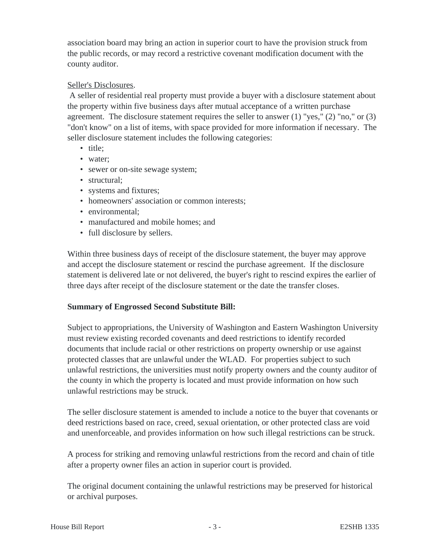association board may bring an action in superior court to have the provision struck from the public records, or may record a restrictive covenant modification document with the county auditor.

## Seller's Disclosures.

 A seller of residential real property must provide a buyer with a disclosure statement about the property within five business days after mutual acceptance of a written purchase agreement. The disclosure statement requires the seller to answer  $(1)$  "yes,"  $(2)$  "no," or  $(3)$ "don't know" on a list of items, with space provided for more information if necessary. The seller disclosure statement includes the following categories:

- title:
- water;
- sewer or on-site sewage system;
- structural:
- systems and fixtures;
- homeowners' association or common interests;
- environmental:
- manufactured and mobile homes: and
- full disclosure by sellers.

Within three business days of receipt of the disclosure statement, the buyer may approve and accept the disclosure statement or rescind the purchase agreement. If the disclosure statement is delivered late or not delivered, the buyer's right to rescind expires the earlier of three days after receipt of the disclosure statement or the date the transfer closes.

## **Summary of Engrossed Second Substitute Bill:**

Subject to appropriations, the University of Washington and Eastern Washington University must review existing recorded covenants and deed restrictions to identify recorded documents that include racial or other restrictions on property ownership or use against protected classes that are unlawful under the WLAD. For properties subject to such unlawful restrictions, the universities must notify property owners and the county auditor of the county in which the property is located and must provide information on how such unlawful restrictions may be struck.

The seller disclosure statement is amended to include a notice to the buyer that covenants or deed restrictions based on race, creed, sexual orientation, or other protected class are void and unenforceable, and provides information on how such illegal restrictions can be struck.

A process for striking and removing unlawful restrictions from the record and chain of title after a property owner files an action in superior court is provided.

The original document containing the unlawful restrictions may be preserved for historical or archival purposes.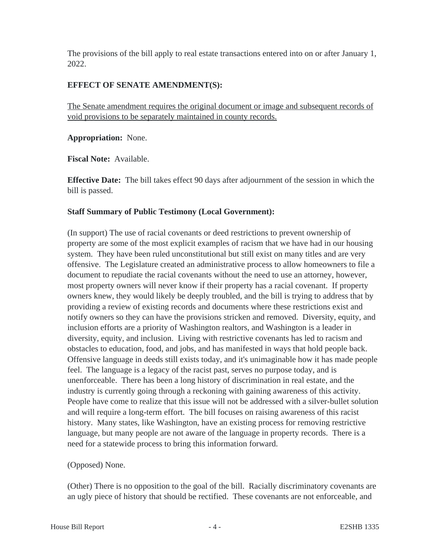The provisions of the bill apply to real estate transactions entered into on or after January 1, 2022.

# **EFFECT OF SENATE AMENDMENT(S):**

The Senate amendment requires the original document or image and subsequent records of void provisions to be separately maintained in county records.

**Appropriation:** None.

**Fiscal Note:** Available.

**Effective Date:** The bill takes effect 90 days after adjournment of the session in which the bill is passed.

## **Staff Summary of Public Testimony (Local Government):**

(In support) The use of racial covenants or deed restrictions to prevent ownership of property are some of the most explicit examples of racism that we have had in our housing system. They have been ruled unconstitutional but still exist on many titles and are very offensive. The Legislature created an administrative process to allow homeowners to file a document to repudiate the racial covenants without the need to use an attorney, however, most property owners will never know if their property has a racial covenant. If property owners knew, they would likely be deeply troubled, and the bill is trying to address that by providing a review of existing records and documents where these restrictions exist and notify owners so they can have the provisions stricken and removed. Diversity, equity, and inclusion efforts are a priority of Washington realtors, and Washington is a leader in diversity, equity, and inclusion. Living with restrictive covenants has led to racism and obstacles to education, food, and jobs, and has manifested in ways that hold people back. Offensive language in deeds still exists today, and it's unimaginable how it has made people feel. The language is a legacy of the racist past, serves no purpose today, and is unenforceable. There has been a long history of discrimination in real estate, and the industry is currently going through a reckoning with gaining awareness of this activity. People have come to realize that this issue will not be addressed with a silver-bullet solution and will require a long-term effort. The bill focuses on raising awareness of this racist history. Many states, like Washington, have an existing process for removing restrictive language, but many people are not aware of the language in property records. There is a need for a statewide process to bring this information forward.

## (Opposed) None.

(Other) There is no opposition to the goal of the bill. Racially discriminatory covenants are an ugly piece of history that should be rectified. These covenants are not enforceable, and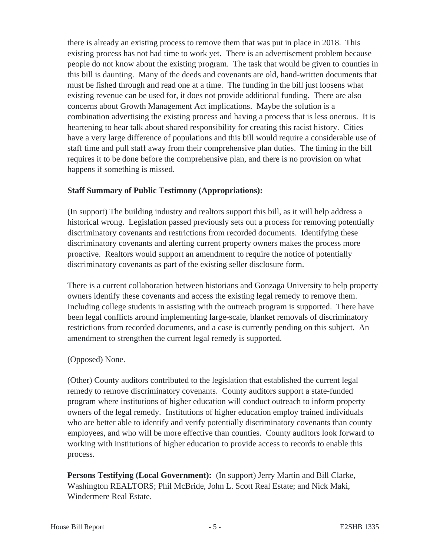there is already an existing process to remove them that was put in place in 2018. This existing process has not had time to work yet. There is an advertisement problem because people do not know about the existing program. The task that would be given to counties in this bill is daunting. Many of the deeds and covenants are old, hand-written documents that must be fished through and read one at a time. The funding in the bill just loosens what existing revenue can be used for, it does not provide additional funding. There are also concerns about Growth Management Act implications. Maybe the solution is a combination advertising the existing process and having a process that is less onerous. It is heartening to hear talk about shared responsibility for creating this racist history. Cities have a very large difference of populations and this bill would require a considerable use of staff time and pull staff away from their comprehensive plan duties. The timing in the bill requires it to be done before the comprehensive plan, and there is no provision on what happens if something is missed.

## **Staff Summary of Public Testimony (Appropriations):**

(In support) The building industry and realtors support this bill, as it will help address a historical wrong. Legislation passed previously sets out a process for removing potentially discriminatory covenants and restrictions from recorded documents. Identifying these discriminatory covenants and alerting current property owners makes the process more proactive. Realtors would support an amendment to require the notice of potentially discriminatory covenants as part of the existing seller disclosure form.

There is a current collaboration between historians and Gonzaga University to help property owners identify these covenants and access the existing legal remedy to remove them. Including college students in assisting with the outreach program is supported. There have been legal conflicts around implementing large-scale, blanket removals of discriminatory restrictions from recorded documents, and a case is currently pending on this subject. An amendment to strengthen the current legal remedy is supported.

## (Opposed) None.

(Other) County auditors contributed to the legislation that established the current legal remedy to remove discriminatory covenants. County auditors support a state-funded program where institutions of higher education will conduct outreach to inform property owners of the legal remedy. Institutions of higher education employ trained individuals who are better able to identify and verify potentially discriminatory covenants than county employees, and who will be more effective than counties. County auditors look forward to working with institutions of higher education to provide access to records to enable this process.

**Persons Testifying (Local Government):** (In support) Jerry Martin and Bill Clarke, Washington REALTORS; Phil McBride, John L. Scott Real Estate; and Nick Maki, Windermere Real Estate.